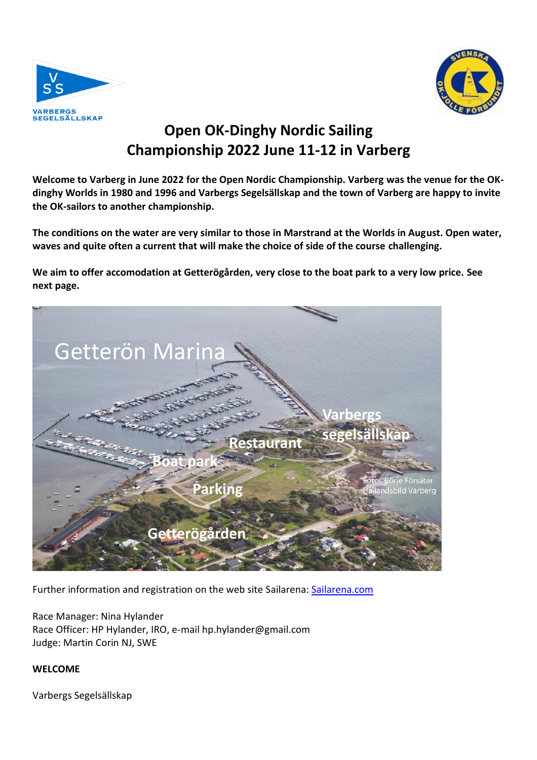



# **Open OK-Dinghy Nordic Sailing Championship 2022 June 11-12 in Varberg**

**Welcome to Varberg in June 2022 for the Open Nordic Championship. Varberg was the venue for the OKdinghy Worlds in 1980 and 1996 and Varbergs Segelsällskap and the town of Varberg are happy to invite the OK-sailors to another championship.**

**The conditions on the water are very similar to those in Marstrand at the Worlds in August. Open water, waves and quite often a current that will make the choice of side of the course challenging.**

**We aim to offer accomodation at Getterögården, very close to the boat park to a very low price. See next page.** 



Further information and registration on the web site Sailarena: [Sailarena.com](https://www.sailarena.com/sv/se/club/vass/ok-dinghy-nordic-championship-2022/)<br>
The Wards of the Wales of Sailarena: Comparent Comparts of the Sailarena Comparent Comparts of the Sailarena C

Race Manager: Nina Hylander Race Officer: HP Hylander, IRO, e-mail hp.hylander@gmail.com Judge: Martin Corin NJ, SWE

**WELCOME**

Varbergs Segelsällskap